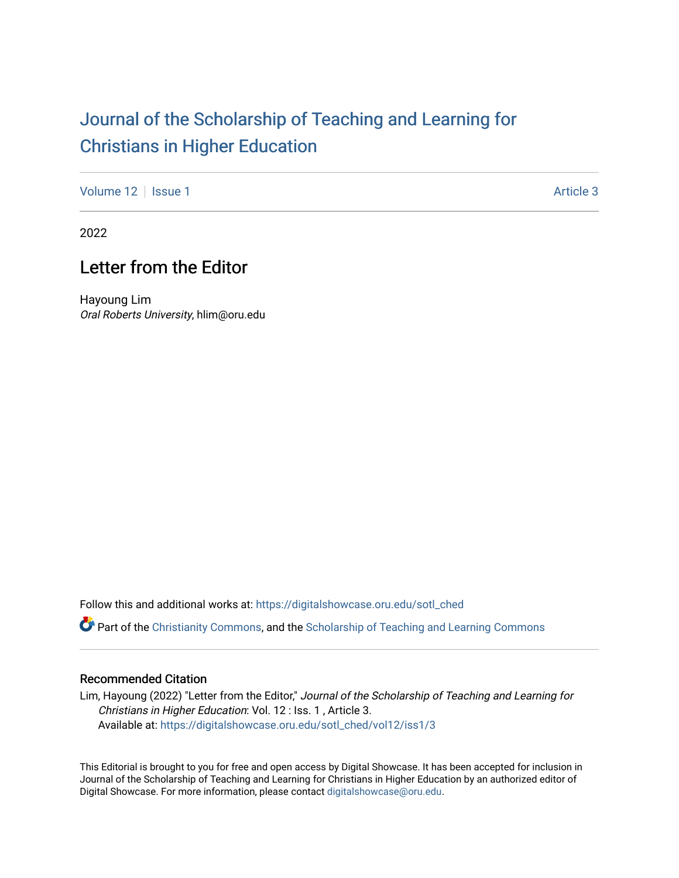## [Journal of the Scholarship of Teaching and Learning for](https://digitalshowcase.oru.edu/sotl_ched)  [Christians in Higher Education](https://digitalshowcase.oru.edu/sotl_ched)

[Volume 12](https://digitalshowcase.oru.edu/sotl_ched/vol12) | [Issue 1](https://digitalshowcase.oru.edu/sotl_ched/vol12/iss1) Article 3

2022

## Letter from the Editor

Hayoung Lim Oral Roberts University, hlim@oru.edu

Follow this and additional works at: [https://digitalshowcase.oru.edu/sotl\\_ched](https://digitalshowcase.oru.edu/sotl_ched?utm_source=digitalshowcase.oru.edu%2Fsotl_ched%2Fvol12%2Fiss1%2F3&utm_medium=PDF&utm_campaign=PDFCoverPages) 

Part of the [Christianity Commons,](https://network.bepress.com/hgg/discipline/1181?utm_source=digitalshowcase.oru.edu%2Fsotl_ched%2Fvol12%2Fiss1%2F3&utm_medium=PDF&utm_campaign=PDFCoverPages) and the [Scholarship of Teaching and Learning Commons](https://network.bepress.com/hgg/discipline/1328?utm_source=digitalshowcase.oru.edu%2Fsotl_ched%2Fvol12%2Fiss1%2F3&utm_medium=PDF&utm_campaign=PDFCoverPages) 

## Recommended Citation

Lim, Hayoung (2022) "Letter from the Editor," Journal of the Scholarship of Teaching and Learning for Christians in Higher Education: Vol. 12 : Iss. 1 , Article 3. Available at: [https://digitalshowcase.oru.edu/sotl\\_ched/vol12/iss1/3](https://digitalshowcase.oru.edu/sotl_ched/vol12/iss1/3?utm_source=digitalshowcase.oru.edu%2Fsotl_ched%2Fvol12%2Fiss1%2F3&utm_medium=PDF&utm_campaign=PDFCoverPages) 

This Editorial is brought to you for free and open access by Digital Showcase. It has been accepted for inclusion in Journal of the Scholarship of Teaching and Learning for Christians in Higher Education by an authorized editor of Digital Showcase. For more information, please contact [digitalshowcase@oru.edu.](mailto:digitalshowcase@oru.edu)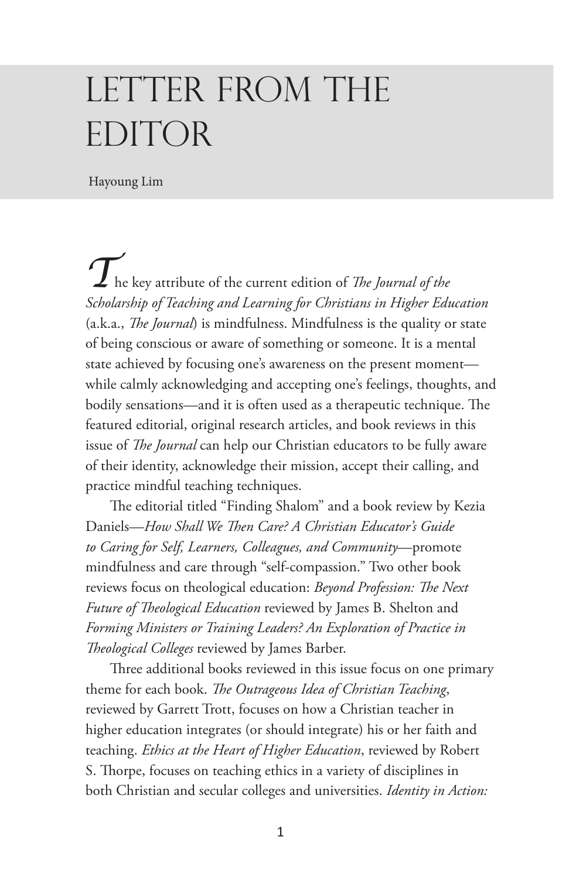## LETTER FROM THE EDITOR

Hayoung Lim

*T*he key attribute of the current edition of *The Journal of the Scholarship of Teaching and Learning for Christians in Higher Education* (a.k.a., *The Journal*) is mindfulness. Mindfulness is the quality or state of being conscious or aware of something or someone. It is a mental state achieved by focusing one's awareness on the present moment while calmly acknowledging and accepting one's feelings, thoughts, and bodily sensations—and it is often used as a therapeutic technique. The featured editorial, original research articles, and book reviews in this issue of *The Journal* can help our Christian educators to be fully aware of their identity, acknowledge their mission, accept their calling, and practice mindful teaching techniques.

The editorial titled "Finding Shalom" and a book review by Kezia Daniels—*How Shall We Then Care? A Christian Educator's Guide to Caring for Self, Learners, Colleagues, and Community*—promote mindfulness and care through "self-compassion." Two other book reviews focus on theological education: *Beyond Profession: The Next Future of Theological Education* reviewed by James B. Shelton and *Forming Ministers or Training Leaders? An Exploration of Practice in Theological Colleges* reviewed by James Barber.

Three additional books reviewed in this issue focus on one primary theme for each book. *The Outrageous Idea of Christian Teaching*, reviewed by Garrett Trott, focuses on how a Christian teacher in higher education integrates (or should integrate) his or her faith and teaching. *Ethics at the Heart of Higher Education*, reviewed by Robert S. Thorpe, focuses on teaching ethics in a variety of disciplines in both Christian and secular colleges and universities. *Identity in Action:*